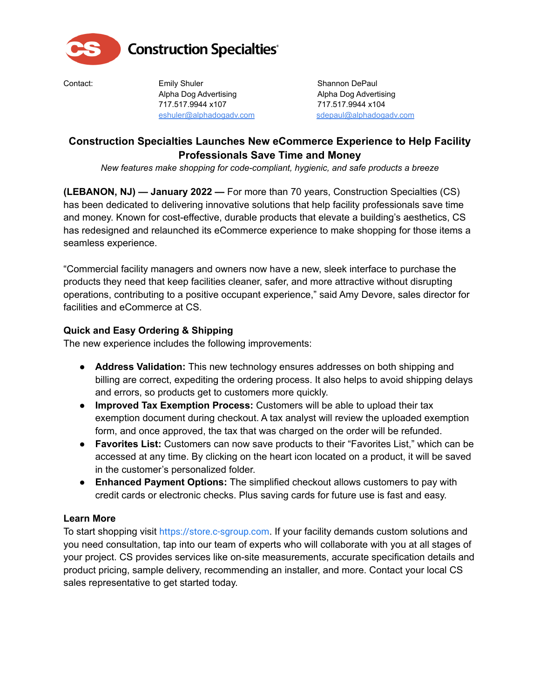

# **Construction Specialties**<sup>®</sup>

Contact: Emily Shuler Emiltonian Shannon DePaul Alpha Dog Advertising **Alpha Dog Advertising** 717.517.9944 x107 717.517.9944 x104 eshuler@alphadogadv.com sdepaul@alphadogadv.com

## **Construction Specialties Launches New eCommerce Experience to Help Facility Professionals Save Time and Money**

*New features make shopping for code-compliant, hygienic, and safe products a breeze*

**(LEBANON, NJ) — January 2022 —** For more than 70 years, Construction Specialties (CS) has been dedicated to delivering innovative solutions that help facility professionals save time and money. Known for cost-effective, durable products that elevate a building's aesthetics, CS has redesigned and relaunched its eCommerce experience to make shopping for those items a seamless experience.

"Commercial facility managers and owners now have a new, sleek interface to purchase the products they need that keep facilities cleaner, safer, and more attractive without disrupting operations, contributing to a positive occupant experience," said Amy Devore, sales director for facilities and eCommerce at CS.

### **Quick and Easy Ordering & Shipping**

The new experience includes the following improvements:

- **Address Validation:** This new technology ensures addresses on both shipping and billing are correct, expediting the ordering process. It also helps to avoid shipping delays and errors, so products get to customers more quickly.
- **Improved Tax Exemption Process:** Customers will be able to upload their tax exemption document during checkout. A tax analyst will review the uploaded exemption form, and once approved, the tax that was charged on the order will be refunded.
- **Favorites List:** Customers can now save products to their "Favorites List," which can be accessed at any time. By clicking on the heart icon located on a product, it will be saved in the customer's personalized folder.
- **Enhanced Payment Options:** The simplified checkout allows customers to pay with credit cards or electronic checks. Plus saving cards for future use is fast and easy.

### **Learn More**

To start shopping visit <https://store.c-sgroup.com>. If your facility demands custom solutions and you need consultation, tap into our team of experts who will collaborate with you at all stages of your project. CS provides services like on-site measurements, accurate specification details and product pricing, sample delivery, recommending an installer, and more. Contact your local CS sales representative to get started today.